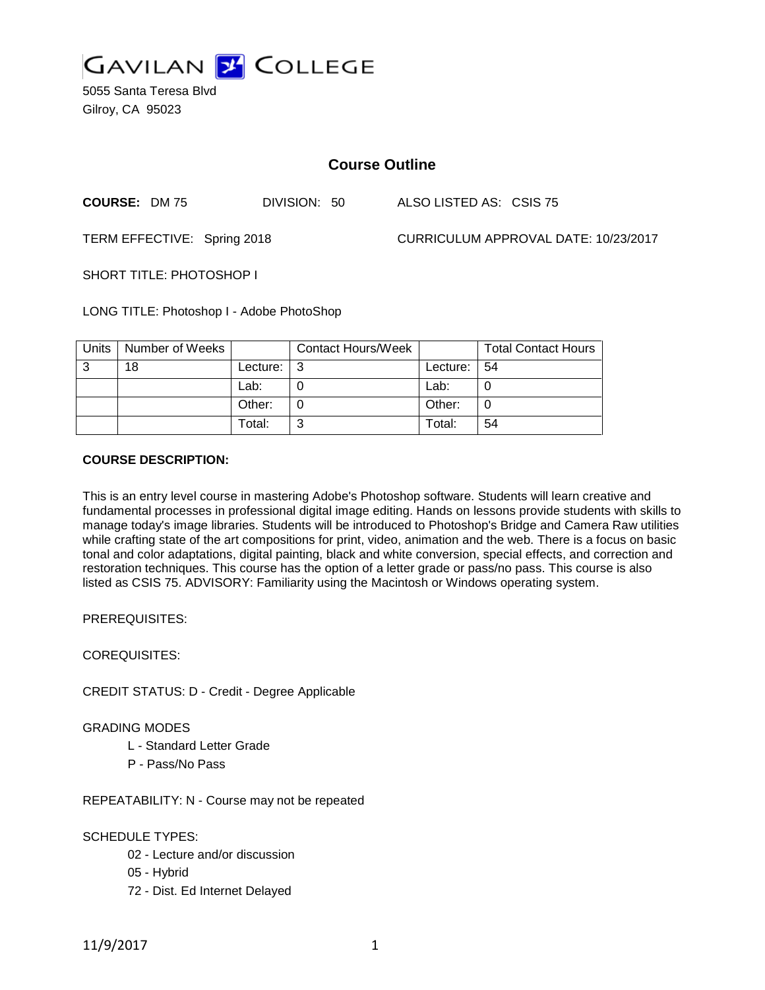

5055 Santa Teresa Blvd Gilroy, CA 95023

# **Course Outline**

**COURSE:** DM 75 DIVISION: 50 ALSO LISTED AS: CSIS 75

TERM EFFECTIVE: Spring 2018 CURRICULUM APPROVAL DATE: 10/23/2017

SHORT TITLE: PHOTOSHOP I

LONG TITLE: Photoshop I - Adobe PhotoShop

| Units | Number of Weeks |          | <b>Contact Hours/Week</b> |            | <b>Total Contact Hours</b> |
|-------|-----------------|----------|---------------------------|------------|----------------------------|
| -3    | 18              | Lecture: |                           | Lecture: I | -54                        |
|       |                 | Lab:     |                           | Lab:       |                            |
|       |                 | Other:   |                           | Other:     |                            |
|       |                 | Total:   |                           | Total:     | 54                         |

### **COURSE DESCRIPTION:**

This is an entry level course in mastering Adobe's Photoshop software. Students will learn creative and fundamental processes in professional digital image editing. Hands on lessons provide students with skills to manage today's image libraries. Students will be introduced to Photoshop's Bridge and Camera Raw utilities while crafting state of the art compositions for print, video, animation and the web. There is a focus on basic tonal and color adaptations, digital painting, black and white conversion, special effects, and correction and restoration techniques. This course has the option of a letter grade or pass/no pass. This course is also listed as CSIS 75. ADVISORY: Familiarity using the Macintosh or Windows operating system.

PREREQUISITES:

COREQUISITES:

CREDIT STATUS: D - Credit - Degree Applicable

GRADING MODES

- L Standard Letter Grade
- P Pass/No Pass

REPEATABILITY: N - Course may not be repeated

SCHEDULE TYPES:

- 02 Lecture and/or discussion
- 05 Hybrid
- 72 Dist. Ed Internet Delayed

11/9/2017 1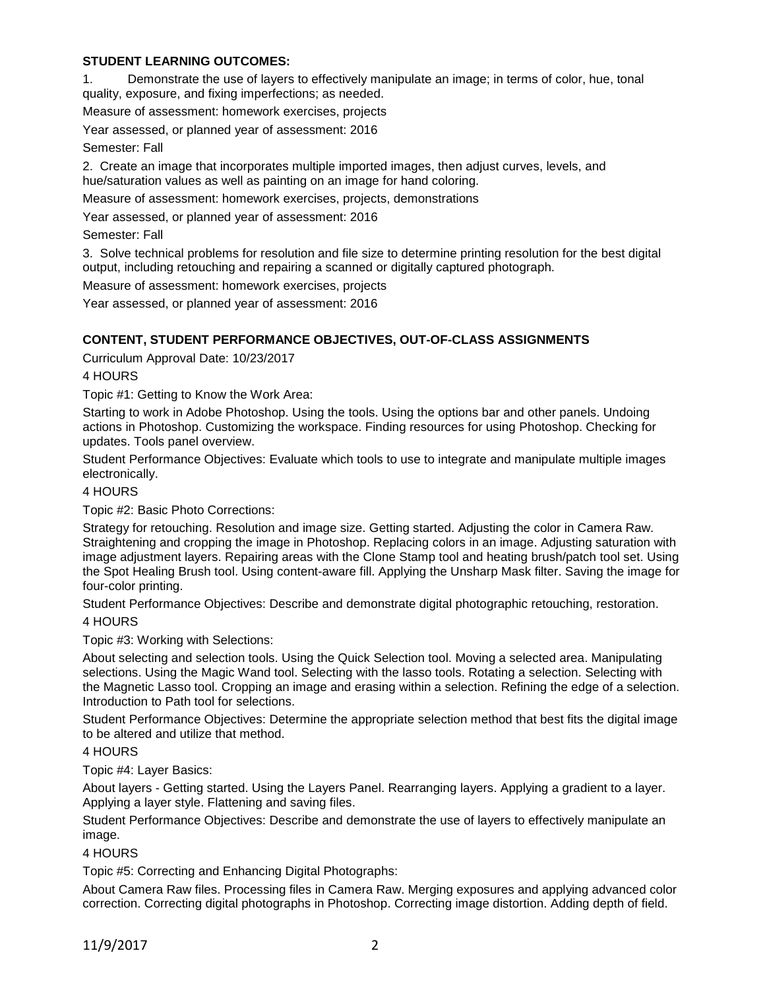# **STUDENT LEARNING OUTCOMES:**

1. Demonstrate the use of layers to effectively manipulate an image; in terms of color, hue, tonal quality, exposure, and fixing imperfections; as needed.

Measure of assessment: homework exercises, projects

Year assessed, or planned year of assessment: 2016

#### Semester: Fall

2. Create an image that incorporates multiple imported images, then adjust curves, levels, and hue/saturation values as well as painting on an image for hand coloring.

Measure of assessment: homework exercises, projects, demonstrations

Year assessed, or planned year of assessment: 2016

Semester: Fall

3. Solve technical problems for resolution and file size to determine printing resolution for the best digital output, including retouching and repairing a scanned or digitally captured photograph.

Measure of assessment: homework exercises, projects

Year assessed, or planned year of assessment: 2016

# **CONTENT, STUDENT PERFORMANCE OBJECTIVES, OUT-OF-CLASS ASSIGNMENTS**

Curriculum Approval Date: 10/23/2017

4 HOURS

Topic #1: Getting to Know the Work Area:

Starting to work in Adobe Photoshop. Using the tools. Using the options bar and other panels. Undoing actions in Photoshop. Customizing the workspace. Finding resources for using Photoshop. Checking for updates. Tools panel overview.

Student Performance Objectives: Evaluate which tools to use to integrate and manipulate multiple images electronically.

4 HOURS

Topic #2: Basic Photo Corrections:

Strategy for retouching. Resolution and image size. Getting started. Adjusting the color in Camera Raw. Straightening and cropping the image in Photoshop. Replacing colors in an image. Adjusting saturation with image adjustment layers. Repairing areas with the Clone Stamp tool and heating brush/patch tool set. Using the Spot Healing Brush tool. Using content-aware fill. Applying the Unsharp Mask filter. Saving the image for four-color printing.

Student Performance Objectives: Describe and demonstrate digital photographic retouching, restoration. 4 HOURS

Topic #3: Working with Selections:

About selecting and selection tools. Using the Quick Selection tool. Moving a selected area. Manipulating selections. Using the Magic Wand tool. Selecting with the lasso tools. Rotating a selection. Selecting with the Magnetic Lasso tool. Cropping an image and erasing within a selection. Refining the edge of a selection. Introduction to Path tool for selections.

Student Performance Objectives: Determine the appropriate selection method that best fits the digital image to be altered and utilize that method.

#### 4 HOURS

Topic #4: Layer Basics:

About layers - Getting started. Using the Layers Panel. Rearranging layers. Applying a gradient to a layer. Applying a layer style. Flattening and saving files.

Student Performance Objectives: Describe and demonstrate the use of layers to effectively manipulate an image.

4 HOURS

Topic #5: Correcting and Enhancing Digital Photographs:

About Camera Raw files. Processing files in Camera Raw. Merging exposures and applying advanced color correction. Correcting digital photographs in Photoshop. Correcting image distortion. Adding depth of field.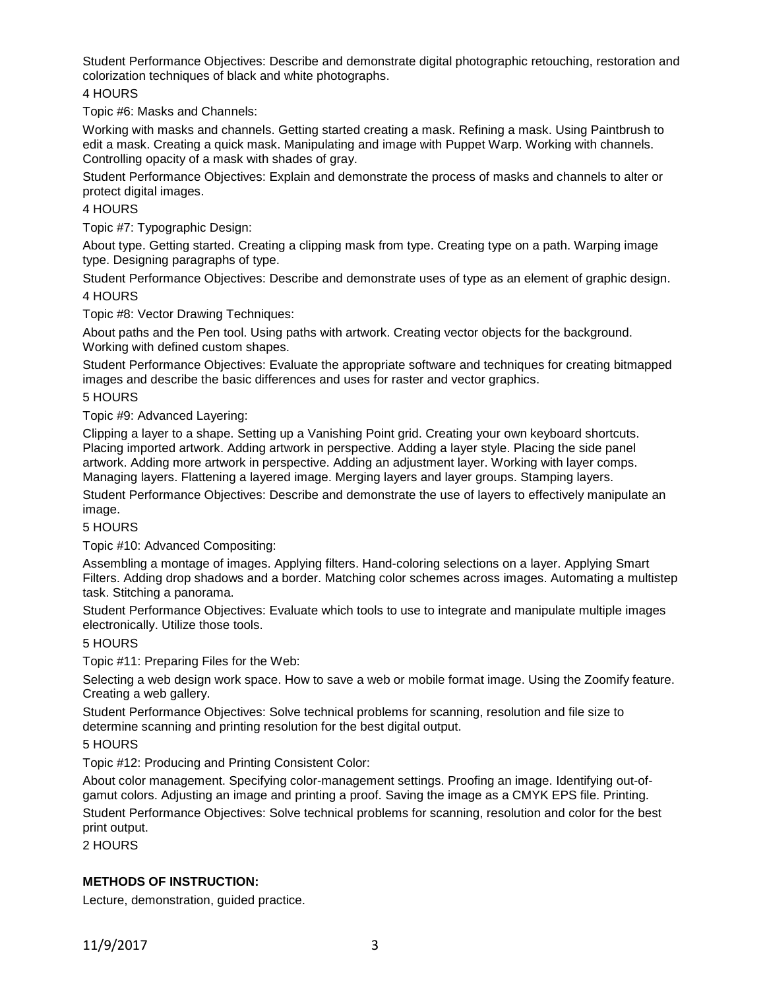Student Performance Objectives: Describe and demonstrate digital photographic retouching, restoration and colorization techniques of black and white photographs.

# 4 HOURS

Topic #6: Masks and Channels:

Working with masks and channels. Getting started creating a mask. Refining a mask. Using Paintbrush to edit a mask. Creating a quick mask. Manipulating and image with Puppet Warp. Working with channels. Controlling opacity of a mask with shades of gray.

Student Performance Objectives: Explain and demonstrate the process of masks and channels to alter or protect digital images.

#### 4 HOURS

Topic #7: Typographic Design:

About type. Getting started. Creating a clipping mask from type. Creating type on a path. Warping image type. Designing paragraphs of type.

Student Performance Objectives: Describe and demonstrate uses of type as an element of graphic design.

### 4 HOURS

Topic #8: Vector Drawing Techniques:

About paths and the Pen tool. Using paths with artwork. Creating vector objects for the background. Working with defined custom shapes.

Student Performance Objectives: Evaluate the appropriate software and techniques for creating bitmapped images and describe the basic differences and uses for raster and vector graphics.

### 5 HOURS

Topic #9: Advanced Layering:

Clipping a layer to a shape. Setting up a Vanishing Point grid. Creating your own keyboard shortcuts. Placing imported artwork. Adding artwork in perspective. Adding a layer style. Placing the side panel artwork. Adding more artwork in perspective. Adding an adjustment layer. Working with layer comps. Managing layers. Flattening a layered image. Merging layers and layer groups. Stamping layers.

Student Performance Objectives: Describe and demonstrate the use of layers to effectively manipulate an image.

# 5 HOURS

Topic #10: Advanced Compositing:

Assembling a montage of images. Applying filters. Hand-coloring selections on a layer. Applying Smart Filters. Adding drop shadows and a border. Matching color schemes across images. Automating a multistep task. Stitching a panorama.

Student Performance Objectives: Evaluate which tools to use to integrate and manipulate multiple images electronically. Utilize those tools.

# 5 HOURS

Topic #11: Preparing Files for the Web:

Selecting a web design work space. How to save a web or mobile format image. Using the Zoomify feature. Creating a web gallery.

Student Performance Objectives: Solve technical problems for scanning, resolution and file size to determine scanning and printing resolution for the best digital output.

#### 5 HOURS

Topic #12: Producing and Printing Consistent Color:

About color management. Specifying color-management settings. Proofing an image. Identifying out-ofgamut colors. Adjusting an image and printing a proof. Saving the image as a CMYK EPS file. Printing. Student Performance Objectives: Solve technical problems for scanning, resolution and color for the best print output.

2 HOURS

# **METHODS OF INSTRUCTION:**

Lecture, demonstration, guided practice.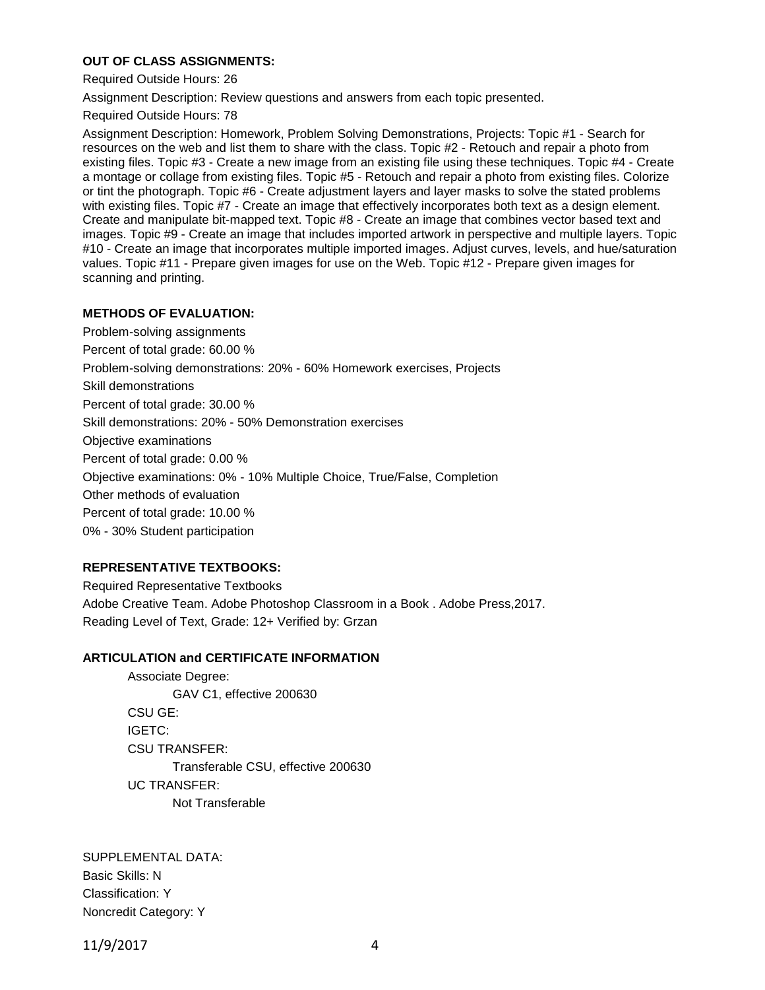# **OUT OF CLASS ASSIGNMENTS:**

Required Outside Hours: 26

Assignment Description: Review questions and answers from each topic presented.

Required Outside Hours: 78

Assignment Description: Homework, Problem Solving Demonstrations, Projects: Topic #1 - Search for resources on the web and list them to share with the class. Topic #2 - Retouch and repair a photo from existing files. Topic #3 - Create a new image from an existing file using these techniques. Topic #4 - Create a montage or collage from existing files. Topic #5 - Retouch and repair a photo from existing files. Colorize or tint the photograph. Topic #6 - Create adjustment layers and layer masks to solve the stated problems with existing files. Topic #7 - Create an image that effectively incorporates both text as a design element. Create and manipulate bit-mapped text. Topic #8 - Create an image that combines vector based text and images. Topic #9 - Create an image that includes imported artwork in perspective and multiple layers. Topic #10 - Create an image that incorporates multiple imported images. Adjust curves, levels, and hue/saturation values. Topic #11 - Prepare given images for use on the Web. Topic #12 - Prepare given images for scanning and printing.

### **METHODS OF EVALUATION:**

Problem-solving assignments Percent of total grade: 60.00 % Problem-solving demonstrations: 20% - 60% Homework exercises, Projects Skill demonstrations Percent of total grade: 30.00 % Skill demonstrations: 20% - 50% Demonstration exercises Objective examinations Percent of total grade: 0.00 % Objective examinations: 0% - 10% Multiple Choice, True/False, Completion Other methods of evaluation Percent of total grade: 10.00 % 0% - 30% Student participation

# **REPRESENTATIVE TEXTBOOKS:**

Required Representative Textbooks Adobe Creative Team. Adobe Photoshop Classroom in a Book . Adobe Press,2017. Reading Level of Text, Grade: 12+ Verified by: Grzan

#### **ARTICULATION and CERTIFICATE INFORMATION**

Associate Degree: GAV C1, effective 200630 CSU GE: IGETC: CSU TRANSFER: Transferable CSU, effective 200630 UC TRANSFER: Not Transferable

SUPPLEMENTAL DATA: Basic Skills: N Classification: Y Noncredit Category: Y

11/9/2017 4